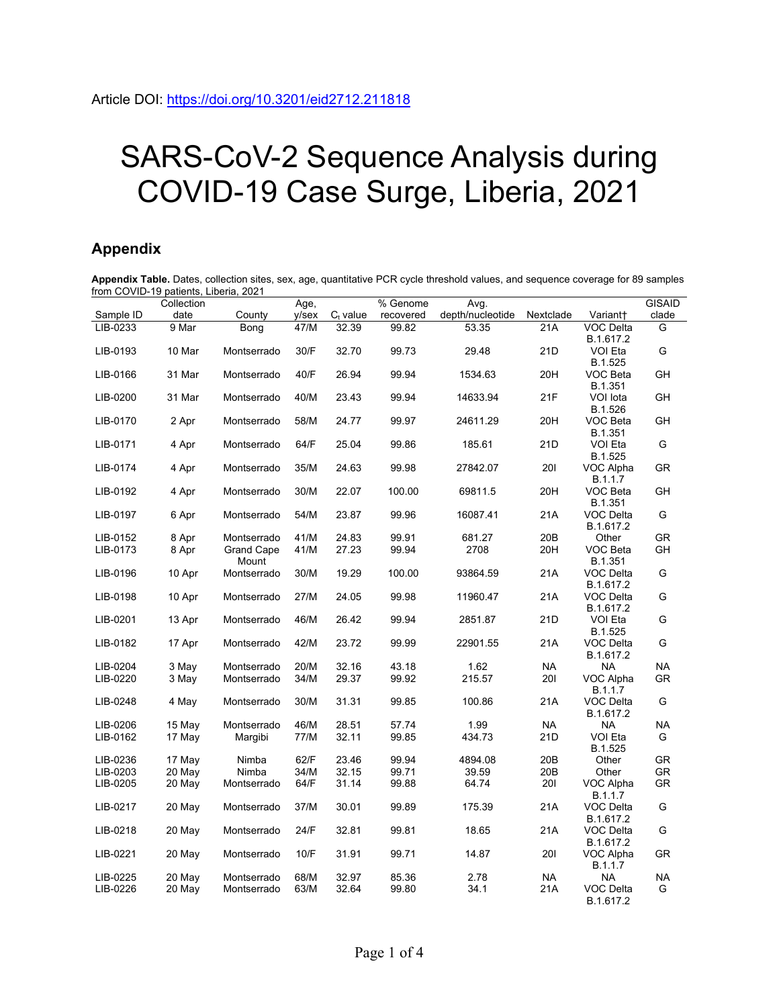## SARS-CoV-2 Sequence Analysis during COVID-19 Case Surge, Liberia, 2021

## **Appendix**

**Appendix Table.** Dates, collection sites, sex, age, quantitative PCR cycle threshold values, and sequence coverage for 89 samples from COVID-19 patients, Liberia, 2021

|           | Collection |                            | Age,  |             | $\overline{\%}$ Genome | Avg.             |                 |                               | <b>GISAID</b> |
|-----------|------------|----------------------------|-------|-------------|------------------------|------------------|-----------------|-------------------------------|---------------|
| Sample ID | date       | County                     | y/sex | $C_t$ value | recovered              | depth/nucleotide | Nextclade       | Variant+                      | clade         |
| LIB-0233  | 9 Mar      | Bong                       | 47/M  | 32.39       | 99.82                  | 53.35            | 21A             | VOC Delta<br>B.1.617.2        | G             |
| LIB-0193  | 10 Mar     | Montserrado                | 30/F  | 32.70       | 99.73                  | 29.48            | 21D             | VOI Eta<br>B.1.525            | G             |
| LIB-0166  | 31 Mar     | Montserrado                | 40/F  | 26.94       | 99.94                  | 1534.63          | 20H             | VOC Beta<br>B.1.351           | GH            |
| LIB-0200  | 31 Mar     | Montserrado                | 40/M  | 23.43       | 99.94                  | 14633.94         | 21F             | VOI lota<br>B.1.526           | GH            |
| LIB-0170  | 2 Apr      | Montserrado                | 58/M  | 24.77       | 99.97                  | 24611.29         | 20H             | VOC Beta<br>B.1.351           | GH            |
| LIB-0171  | 4 Apr      | Montserrado                | 64/F  | 25.04       | 99.86                  | 185.61           | 21D             | VOI Eta<br>B.1.525            | G             |
| LIB-0174  | 4 Apr      | Montserrado                | 35/M  | 24.63       | 99.98                  | 27842.07         | 201             | VOC Alpha<br>B.1.1.7          | GR            |
| LIB-0192  | 4 Apr      | Montserrado                | 30/M  | 22.07       | 100.00                 | 69811.5          | 20H             | VOC Beta<br>B.1.351           | GH            |
| LIB-0197  | 6 Apr      | Montserrado                | 54/M  | 23.87       | 99.96                  | 16087.41         | 21A             | VOC Delta<br>B.1.617.2        | G             |
| LIB-0152  | 8 Apr      | Montserrado                | 41/M  | 24.83       | 99.91                  | 681.27           | 20 <sub>B</sub> | Other                         | GR            |
| LIB-0173  | 8 Apr      | <b>Grand Cape</b><br>Mount | 41/M  | 27.23       | 99.94                  | 2708             | 20H             | VOC Beta<br>B.1.351           | GH            |
| LIB-0196  | 10 Apr     | Montserrado                | 30/M  | 19.29       | 100.00                 | 93864.59         | 21A             | VOC Delta<br>B.1.617.2        | G             |
| LIB-0198  | 10 Apr     | Montserrado                | 27/M  | 24.05       | 99.98                  | 11960.47         | 21A             | <b>VOC Delta</b><br>B.1.617.2 | G             |
| LIB-0201  | 13 Apr     | Montserrado                | 46/M  | 26.42       | 99.94                  | 2851.87          | 21D             | VOI Eta<br>B.1.525            | G             |
| LIB-0182  | 17 Apr     | Montserrado                | 42/M  | 23.72       | 99.99                  | 22901.55         | 21A             | VOC Delta<br>B.1.617.2        | G             |
| LIB-0204  | 3 May      | Montserrado                | 20/M  | 32.16       | 43.18                  | 1.62             | <b>NA</b>       | NA                            | <b>NA</b>     |
| LIB-0220  | 3 May      | Montserrado                | 34/M  | 29.37       | 99.92                  | 215.57           | 201             | VOC Alpha<br>B.1.1.7          | GR            |
| LIB-0248  | 4 May      | Montserrado                | 30/M  | 31.31       | 99.85                  | 100.86           | 21A             | VOC Delta<br>B.1.617.2        | G             |
| LIB-0206  | 15 May     | Montserrado                | 46/M  | 28.51       | 57.74                  | 1.99             | <b>NA</b>       | <b>NA</b>                     | <b>NA</b>     |
| LIB-0162  | 17 May     | Margibi                    | 77/M  | 32.11       | 99.85                  | 434.73           | 21D             | VOI Eta<br>B.1.525            | G             |
| LIB-0236  | 17 May     | Nimba                      | 62/F  | 23.46       | 99.94                  | 4894.08          | 20B             | Other                         | GR            |
| LIB-0203  | 20 May     | Nimba                      | 34/M  | 32.15       | 99.71                  | 39.59            | 20B             | Other                         | GR            |
| LIB-0205  | 20 May     | Montserrado                | 64/F  | 31.14       | 99.88                  | 64.74            | <b>201</b>      | VOC Alpha<br>B.1.1.7          | GR            |
| LIB-0217  | 20 May     | Montserrado                | 37/M  | 30.01       | 99.89                  | 175.39           | 21A             | VOC Delta<br>B.1.617.2        | G             |
| LIB-0218  | 20 May     | Montserrado                | 24/F  | 32.81       | 99.81                  | 18.65            | 21A             | VOC Delta<br>B.1.617.2        | G             |
| LIB-0221  | 20 May     | Montserrado                | 10/F  | 31.91       | 99.71                  | 14.87            | <b>201</b>      | VOC Alpha<br>B.1.1.7          | GR            |
| LIB-0225  | 20 May     | Montserrado                | 68/M  | 32.97       | 85.36                  | 2.78             | <b>NA</b>       | NA.                           | <b>NA</b>     |
| LIB-0226  | 20 May     | Montserrado                | 63/M  | 32.64       | 99.80                  | 34.1             | 21A             | VOC Delta<br>B.1.617.2        | G             |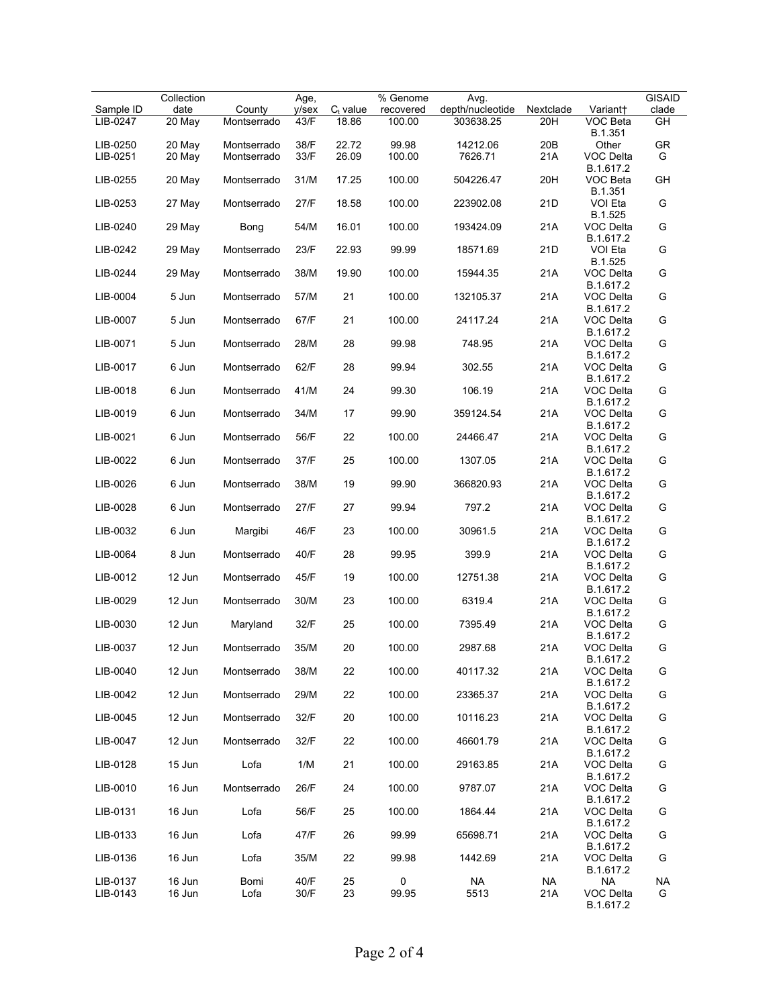| $Ct$ value<br>depth/nucleotide<br>clade<br>Sample ID<br>date<br>County<br>y/sex<br>recovered<br>Nextclade<br>Variant+<br>$\overline{GH}$<br>LIB-0247<br>20 May<br>Montserrado<br>43/F<br>18.86<br>100.00<br>303638.25<br>20H<br>VOC Beta<br>B.1.351<br>99.98<br>GR<br>LIB-0250<br>20 May<br>38/F<br>22.72<br>14212.06<br>20B<br>Other<br>Montserrado<br>21A<br>33/F<br>26.09<br>100.00<br>7626.71<br><b>VOC Delta</b><br>G<br>LIB-0251<br>20 May<br>Montserrado<br>B.1.617.2<br>17.25<br>20H<br>GH<br>31/M<br>100.00<br>504226.47<br>LIB-0255<br>20 May<br>Montserrado<br>VOC Beta<br>B.1.351<br>21D<br>LIB-0253<br>27/F<br>18.58<br>100.00<br>VOI Eta<br>G<br>27 May<br>Montserrado<br>223902.08<br>B.1.525<br>54/M<br>16.01<br>21A<br>LIB-0240<br>29 May<br>Bong<br>100.00<br>193424.09<br>G<br>VOC Delta<br>B.1.617.2<br>22.93<br>LIB-0242<br>23/F<br>99.99<br>18571.69<br>21D<br>G<br>29 May<br>Montserrado<br>VOI Eta<br>B.1.525<br>19.90<br>21A<br>LIB-0244<br>29 May<br>Montserrado<br>38/M<br>100.00<br>G<br>15944.35<br>VOC Delta<br>B.1.617.2<br>57/M<br>21<br>21A<br>G<br>LIB-0004<br>5 Jun<br>Montserrado<br>100.00<br>132105.37<br>VOC Delta<br>B.1.617.2<br>21A<br>LIB-0007<br>5 Jun<br>Montserrado<br>67/F<br>21<br>100.00<br>24117.24<br>G<br>VOC Delta<br>B.1.617.2<br>5 Jun<br>28/M<br>28<br>99.98<br>748.95<br>21A<br>G<br>LIB-0071<br>Montserrado<br>VOC Delta<br>B.1.617.2<br>21A<br>LIB-0017<br>6 Jun<br>62/F<br>28<br>99.94<br>302.55<br>G<br>Montserrado<br>VOC Delta<br>B.1.617.2<br>106.19<br>LIB-0018<br>6 Jun<br>Montserrado<br>41/M<br>24<br>99.30<br>21A<br>G<br>VOC Delta<br>B.1.617.2<br>6 Jun<br>34/M<br>21A<br>LIB-0019<br>Montserrado<br>17<br>99.90<br>359124.54<br>G<br>VOC Delta<br>B.1.617.2<br>56/F<br>22<br>21A<br>LIB-0021<br>6 Jun<br>100.00<br>G<br>Montserrado<br>24466.47<br>VOC Delta<br>B.1.617.2<br>21A<br>LIB-0022<br>6 Jun<br>37/F<br>25<br>G<br>Montserrado<br>100.00<br>1307.05<br>VOC Delta<br>B.1.617.2<br>LIB-0026<br>6 Jun<br>Montserrado<br>38/M<br>19<br>99.90<br>366820.93<br>21A<br>G<br>VOC Delta<br>B.1.617.2<br>21A<br>LIB-0028<br>6 Jun<br>27/F<br>27<br>99.94<br>797.2<br>G<br>Montserrado<br>VOC Delta<br>B.1.617.2<br>46/F<br>21A<br>LIB-0032<br>6 Jun<br>Margibi<br>23<br>100.00<br>30961.5<br>G<br>VOC Delta<br>B.1.617.2<br>LIB-0064<br>8 Jun<br>40/F<br>28<br>399.9<br>21A<br>G<br>Montserrado<br>99.95<br>VOC Delta<br>B.1.617.2<br>21A<br>LIB-0012<br>12 Jun<br>Montserrado<br>45/F<br>19<br>100.00<br>12751.38<br>G<br>VOC Delta<br>B.1.617.2<br>LIB-0029<br>12 Jun<br>30/M<br>23<br>6319.4<br>21A<br>G<br>Montserrado<br>100.00<br>VOC Delta<br>B.1.617.2<br>21A<br>12 Jun<br>32/F<br>25<br>7395.49<br>LIB-0030<br>Maryland<br>100.00<br>VOC Delta<br>G<br>B.1.617.2<br>12 Jun<br>35/M<br>20<br>21A<br>G<br>LIB-0037<br>Montserrado<br>100.00<br>2987.68<br>VOC Delta<br>B.1.617.2<br>LIB-0040<br>12 Jun<br>Montserrado<br>22<br>100.00<br>40117.32<br>38/M<br>21A<br>VOC Delta<br>G<br>B.1.617.2<br>12 Jun<br>21A<br>LIB-0042<br>Montserrado<br>29/M<br>22<br>100.00<br>23365.37<br>VOC Delta<br>G<br>B.1.617.2<br>LIB-0045<br>12 Jun<br>Montserrado<br>32/F<br>20<br>100.00<br>10116.23<br>21A<br>VOC Delta<br>G<br>B.1.617.2<br>12 Jun<br>LIB-0047<br>Montserrado<br>32/F<br>22<br>100.00<br>46601.79<br>21A<br>VOC Delta<br>G<br>B.1.617.2<br>15 Jun<br>LIB-0128<br>Lofa<br>1/M<br>21<br>100.00<br>29163.85<br>21A<br>VOC Delta<br>G<br>B.1.617.2<br>16 Jun<br>LIB-0010<br>Montserrado<br>26/F<br>24<br>100.00<br>9787.07<br>21A<br>VOC Delta<br>G<br>B.1.617.2<br>LIB-0131<br>16 Jun<br>Lofa<br>56/F<br>25<br>100.00<br>1864.44<br>21A<br>VOC Delta<br>G<br>B.1.617.2<br>LIB-0133<br>16 Jun<br>Lofa<br>47/F<br>26<br>99.99<br>65698.71<br>21A<br>VOC Delta<br>G<br>B.1.617.2<br>LIB-0136<br>1442.69<br>16 Jun<br>Lofa<br>35/M<br>22<br>99.98<br>21A<br>VOC Delta<br>G<br>B.1.617.2 |          | Collection |      | Age, |    | % Genome  | Avg.      |           |    | <b>GISAID</b> |
|---------------------------------------------------------------------------------------------------------------------------------------------------------------------------------------------------------------------------------------------------------------------------------------------------------------------------------------------------------------------------------------------------------------------------------------------------------------------------------------------------------------------------------------------------------------------------------------------------------------------------------------------------------------------------------------------------------------------------------------------------------------------------------------------------------------------------------------------------------------------------------------------------------------------------------------------------------------------------------------------------------------------------------------------------------------------------------------------------------------------------------------------------------------------------------------------------------------------------------------------------------------------------------------------------------------------------------------------------------------------------------------------------------------------------------------------------------------------------------------------------------------------------------------------------------------------------------------------------------------------------------------------------------------------------------------------------------------------------------------------------------------------------------------------------------------------------------------------------------------------------------------------------------------------------------------------------------------------------------------------------------------------------------------------------------------------------------------------------------------------------------------------------------------------------------------------------------------------------------------------------------------------------------------------------------------------------------------------------------------------------------------------------------------------------------------------------------------------------------------------------------------------------------------------------------------------------------------------------------------------------------------------------------------------------------------------------------------------------------------------------------------------------------------------------------------------------------------------------------------------------------------------------------------------------------------------------------------------------------------------------------------------------------------------------------------------------------------------------------------------------------------------------------------------------------------------------------------------------------------------------------------------------------------------------------------------------------------------------------------------------------------------------------------------------------------------------------------------------------------------------------------------------------------------------------------------------------------------------------------------------------------------------------------------------------------------------------------------------------------------------------------------------------------------------------------------------------------------------------------------|----------|------------|------|------|----|-----------|-----------|-----------|----|---------------|
|                                                                                                                                                                                                                                                                                                                                                                                                                                                                                                                                                                                                                                                                                                                                                                                                                                                                                                                                                                                                                                                                                                                                                                                                                                                                                                                                                                                                                                                                                                                                                                                                                                                                                                                                                                                                                                                                                                                                                                                                                                                                                                                                                                                                                                                                                                                                                                                                                                                                                                                                                                                                                                                                                                                                                                                                                                                                                                                                                                                                                                                                                                                                                                                                                                                                                                                                                                                                                                                                                                                                                                                                                                                                                                                                                                                                                                                                     |          |            |      |      |    |           |           |           |    |               |
|                                                                                                                                                                                                                                                                                                                                                                                                                                                                                                                                                                                                                                                                                                                                                                                                                                                                                                                                                                                                                                                                                                                                                                                                                                                                                                                                                                                                                                                                                                                                                                                                                                                                                                                                                                                                                                                                                                                                                                                                                                                                                                                                                                                                                                                                                                                                                                                                                                                                                                                                                                                                                                                                                                                                                                                                                                                                                                                                                                                                                                                                                                                                                                                                                                                                                                                                                                                                                                                                                                                                                                                                                                                                                                                                                                                                                                                                     |          |            |      |      |    |           |           |           |    |               |
|                                                                                                                                                                                                                                                                                                                                                                                                                                                                                                                                                                                                                                                                                                                                                                                                                                                                                                                                                                                                                                                                                                                                                                                                                                                                                                                                                                                                                                                                                                                                                                                                                                                                                                                                                                                                                                                                                                                                                                                                                                                                                                                                                                                                                                                                                                                                                                                                                                                                                                                                                                                                                                                                                                                                                                                                                                                                                                                                                                                                                                                                                                                                                                                                                                                                                                                                                                                                                                                                                                                                                                                                                                                                                                                                                                                                                                                                     |          |            |      |      |    |           |           |           |    |               |
|                                                                                                                                                                                                                                                                                                                                                                                                                                                                                                                                                                                                                                                                                                                                                                                                                                                                                                                                                                                                                                                                                                                                                                                                                                                                                                                                                                                                                                                                                                                                                                                                                                                                                                                                                                                                                                                                                                                                                                                                                                                                                                                                                                                                                                                                                                                                                                                                                                                                                                                                                                                                                                                                                                                                                                                                                                                                                                                                                                                                                                                                                                                                                                                                                                                                                                                                                                                                                                                                                                                                                                                                                                                                                                                                                                                                                                                                     |          |            |      |      |    |           |           |           |    |               |
|                                                                                                                                                                                                                                                                                                                                                                                                                                                                                                                                                                                                                                                                                                                                                                                                                                                                                                                                                                                                                                                                                                                                                                                                                                                                                                                                                                                                                                                                                                                                                                                                                                                                                                                                                                                                                                                                                                                                                                                                                                                                                                                                                                                                                                                                                                                                                                                                                                                                                                                                                                                                                                                                                                                                                                                                                                                                                                                                                                                                                                                                                                                                                                                                                                                                                                                                                                                                                                                                                                                                                                                                                                                                                                                                                                                                                                                                     |          |            |      |      |    |           |           |           |    |               |
|                                                                                                                                                                                                                                                                                                                                                                                                                                                                                                                                                                                                                                                                                                                                                                                                                                                                                                                                                                                                                                                                                                                                                                                                                                                                                                                                                                                                                                                                                                                                                                                                                                                                                                                                                                                                                                                                                                                                                                                                                                                                                                                                                                                                                                                                                                                                                                                                                                                                                                                                                                                                                                                                                                                                                                                                                                                                                                                                                                                                                                                                                                                                                                                                                                                                                                                                                                                                                                                                                                                                                                                                                                                                                                                                                                                                                                                                     |          |            |      |      |    |           |           |           |    |               |
|                                                                                                                                                                                                                                                                                                                                                                                                                                                                                                                                                                                                                                                                                                                                                                                                                                                                                                                                                                                                                                                                                                                                                                                                                                                                                                                                                                                                                                                                                                                                                                                                                                                                                                                                                                                                                                                                                                                                                                                                                                                                                                                                                                                                                                                                                                                                                                                                                                                                                                                                                                                                                                                                                                                                                                                                                                                                                                                                                                                                                                                                                                                                                                                                                                                                                                                                                                                                                                                                                                                                                                                                                                                                                                                                                                                                                                                                     |          |            |      |      |    |           |           |           |    |               |
|                                                                                                                                                                                                                                                                                                                                                                                                                                                                                                                                                                                                                                                                                                                                                                                                                                                                                                                                                                                                                                                                                                                                                                                                                                                                                                                                                                                                                                                                                                                                                                                                                                                                                                                                                                                                                                                                                                                                                                                                                                                                                                                                                                                                                                                                                                                                                                                                                                                                                                                                                                                                                                                                                                                                                                                                                                                                                                                                                                                                                                                                                                                                                                                                                                                                                                                                                                                                                                                                                                                                                                                                                                                                                                                                                                                                                                                                     |          |            |      |      |    |           |           |           |    |               |
|                                                                                                                                                                                                                                                                                                                                                                                                                                                                                                                                                                                                                                                                                                                                                                                                                                                                                                                                                                                                                                                                                                                                                                                                                                                                                                                                                                                                                                                                                                                                                                                                                                                                                                                                                                                                                                                                                                                                                                                                                                                                                                                                                                                                                                                                                                                                                                                                                                                                                                                                                                                                                                                                                                                                                                                                                                                                                                                                                                                                                                                                                                                                                                                                                                                                                                                                                                                                                                                                                                                                                                                                                                                                                                                                                                                                                                                                     |          |            |      |      |    |           |           |           |    |               |
|                                                                                                                                                                                                                                                                                                                                                                                                                                                                                                                                                                                                                                                                                                                                                                                                                                                                                                                                                                                                                                                                                                                                                                                                                                                                                                                                                                                                                                                                                                                                                                                                                                                                                                                                                                                                                                                                                                                                                                                                                                                                                                                                                                                                                                                                                                                                                                                                                                                                                                                                                                                                                                                                                                                                                                                                                                                                                                                                                                                                                                                                                                                                                                                                                                                                                                                                                                                                                                                                                                                                                                                                                                                                                                                                                                                                                                                                     |          |            |      |      |    |           |           |           |    |               |
|                                                                                                                                                                                                                                                                                                                                                                                                                                                                                                                                                                                                                                                                                                                                                                                                                                                                                                                                                                                                                                                                                                                                                                                                                                                                                                                                                                                                                                                                                                                                                                                                                                                                                                                                                                                                                                                                                                                                                                                                                                                                                                                                                                                                                                                                                                                                                                                                                                                                                                                                                                                                                                                                                                                                                                                                                                                                                                                                                                                                                                                                                                                                                                                                                                                                                                                                                                                                                                                                                                                                                                                                                                                                                                                                                                                                                                                                     |          |            |      |      |    |           |           |           |    |               |
|                                                                                                                                                                                                                                                                                                                                                                                                                                                                                                                                                                                                                                                                                                                                                                                                                                                                                                                                                                                                                                                                                                                                                                                                                                                                                                                                                                                                                                                                                                                                                                                                                                                                                                                                                                                                                                                                                                                                                                                                                                                                                                                                                                                                                                                                                                                                                                                                                                                                                                                                                                                                                                                                                                                                                                                                                                                                                                                                                                                                                                                                                                                                                                                                                                                                                                                                                                                                                                                                                                                                                                                                                                                                                                                                                                                                                                                                     |          |            |      |      |    |           |           |           |    |               |
|                                                                                                                                                                                                                                                                                                                                                                                                                                                                                                                                                                                                                                                                                                                                                                                                                                                                                                                                                                                                                                                                                                                                                                                                                                                                                                                                                                                                                                                                                                                                                                                                                                                                                                                                                                                                                                                                                                                                                                                                                                                                                                                                                                                                                                                                                                                                                                                                                                                                                                                                                                                                                                                                                                                                                                                                                                                                                                                                                                                                                                                                                                                                                                                                                                                                                                                                                                                                                                                                                                                                                                                                                                                                                                                                                                                                                                                                     |          |            |      |      |    |           |           |           |    |               |
|                                                                                                                                                                                                                                                                                                                                                                                                                                                                                                                                                                                                                                                                                                                                                                                                                                                                                                                                                                                                                                                                                                                                                                                                                                                                                                                                                                                                                                                                                                                                                                                                                                                                                                                                                                                                                                                                                                                                                                                                                                                                                                                                                                                                                                                                                                                                                                                                                                                                                                                                                                                                                                                                                                                                                                                                                                                                                                                                                                                                                                                                                                                                                                                                                                                                                                                                                                                                                                                                                                                                                                                                                                                                                                                                                                                                                                                                     |          |            |      |      |    |           |           |           |    |               |
|                                                                                                                                                                                                                                                                                                                                                                                                                                                                                                                                                                                                                                                                                                                                                                                                                                                                                                                                                                                                                                                                                                                                                                                                                                                                                                                                                                                                                                                                                                                                                                                                                                                                                                                                                                                                                                                                                                                                                                                                                                                                                                                                                                                                                                                                                                                                                                                                                                                                                                                                                                                                                                                                                                                                                                                                                                                                                                                                                                                                                                                                                                                                                                                                                                                                                                                                                                                                                                                                                                                                                                                                                                                                                                                                                                                                                                                                     |          |            |      |      |    |           |           |           |    |               |
|                                                                                                                                                                                                                                                                                                                                                                                                                                                                                                                                                                                                                                                                                                                                                                                                                                                                                                                                                                                                                                                                                                                                                                                                                                                                                                                                                                                                                                                                                                                                                                                                                                                                                                                                                                                                                                                                                                                                                                                                                                                                                                                                                                                                                                                                                                                                                                                                                                                                                                                                                                                                                                                                                                                                                                                                                                                                                                                                                                                                                                                                                                                                                                                                                                                                                                                                                                                                                                                                                                                                                                                                                                                                                                                                                                                                                                                                     |          |            |      |      |    |           |           |           |    |               |
|                                                                                                                                                                                                                                                                                                                                                                                                                                                                                                                                                                                                                                                                                                                                                                                                                                                                                                                                                                                                                                                                                                                                                                                                                                                                                                                                                                                                                                                                                                                                                                                                                                                                                                                                                                                                                                                                                                                                                                                                                                                                                                                                                                                                                                                                                                                                                                                                                                                                                                                                                                                                                                                                                                                                                                                                                                                                                                                                                                                                                                                                                                                                                                                                                                                                                                                                                                                                                                                                                                                                                                                                                                                                                                                                                                                                                                                                     |          |            |      |      |    |           |           |           |    |               |
|                                                                                                                                                                                                                                                                                                                                                                                                                                                                                                                                                                                                                                                                                                                                                                                                                                                                                                                                                                                                                                                                                                                                                                                                                                                                                                                                                                                                                                                                                                                                                                                                                                                                                                                                                                                                                                                                                                                                                                                                                                                                                                                                                                                                                                                                                                                                                                                                                                                                                                                                                                                                                                                                                                                                                                                                                                                                                                                                                                                                                                                                                                                                                                                                                                                                                                                                                                                                                                                                                                                                                                                                                                                                                                                                                                                                                                                                     |          |            |      |      |    |           |           |           |    |               |
|                                                                                                                                                                                                                                                                                                                                                                                                                                                                                                                                                                                                                                                                                                                                                                                                                                                                                                                                                                                                                                                                                                                                                                                                                                                                                                                                                                                                                                                                                                                                                                                                                                                                                                                                                                                                                                                                                                                                                                                                                                                                                                                                                                                                                                                                                                                                                                                                                                                                                                                                                                                                                                                                                                                                                                                                                                                                                                                                                                                                                                                                                                                                                                                                                                                                                                                                                                                                                                                                                                                                                                                                                                                                                                                                                                                                                                                                     |          |            |      |      |    |           |           |           |    |               |
|                                                                                                                                                                                                                                                                                                                                                                                                                                                                                                                                                                                                                                                                                                                                                                                                                                                                                                                                                                                                                                                                                                                                                                                                                                                                                                                                                                                                                                                                                                                                                                                                                                                                                                                                                                                                                                                                                                                                                                                                                                                                                                                                                                                                                                                                                                                                                                                                                                                                                                                                                                                                                                                                                                                                                                                                                                                                                                                                                                                                                                                                                                                                                                                                                                                                                                                                                                                                                                                                                                                                                                                                                                                                                                                                                                                                                                                                     |          |            |      |      |    |           |           |           |    |               |
|                                                                                                                                                                                                                                                                                                                                                                                                                                                                                                                                                                                                                                                                                                                                                                                                                                                                                                                                                                                                                                                                                                                                                                                                                                                                                                                                                                                                                                                                                                                                                                                                                                                                                                                                                                                                                                                                                                                                                                                                                                                                                                                                                                                                                                                                                                                                                                                                                                                                                                                                                                                                                                                                                                                                                                                                                                                                                                                                                                                                                                                                                                                                                                                                                                                                                                                                                                                                                                                                                                                                                                                                                                                                                                                                                                                                                                                                     |          |            |      |      |    |           |           |           |    |               |
|                                                                                                                                                                                                                                                                                                                                                                                                                                                                                                                                                                                                                                                                                                                                                                                                                                                                                                                                                                                                                                                                                                                                                                                                                                                                                                                                                                                                                                                                                                                                                                                                                                                                                                                                                                                                                                                                                                                                                                                                                                                                                                                                                                                                                                                                                                                                                                                                                                                                                                                                                                                                                                                                                                                                                                                                                                                                                                                                                                                                                                                                                                                                                                                                                                                                                                                                                                                                                                                                                                                                                                                                                                                                                                                                                                                                                                                                     |          |            |      |      |    |           |           |           |    |               |
|                                                                                                                                                                                                                                                                                                                                                                                                                                                                                                                                                                                                                                                                                                                                                                                                                                                                                                                                                                                                                                                                                                                                                                                                                                                                                                                                                                                                                                                                                                                                                                                                                                                                                                                                                                                                                                                                                                                                                                                                                                                                                                                                                                                                                                                                                                                                                                                                                                                                                                                                                                                                                                                                                                                                                                                                                                                                                                                                                                                                                                                                                                                                                                                                                                                                                                                                                                                                                                                                                                                                                                                                                                                                                                                                                                                                                                                                     |          |            |      |      |    |           |           |           |    |               |
|                                                                                                                                                                                                                                                                                                                                                                                                                                                                                                                                                                                                                                                                                                                                                                                                                                                                                                                                                                                                                                                                                                                                                                                                                                                                                                                                                                                                                                                                                                                                                                                                                                                                                                                                                                                                                                                                                                                                                                                                                                                                                                                                                                                                                                                                                                                                                                                                                                                                                                                                                                                                                                                                                                                                                                                                                                                                                                                                                                                                                                                                                                                                                                                                                                                                                                                                                                                                                                                                                                                                                                                                                                                                                                                                                                                                                                                                     |          |            |      |      |    |           |           |           |    |               |
|                                                                                                                                                                                                                                                                                                                                                                                                                                                                                                                                                                                                                                                                                                                                                                                                                                                                                                                                                                                                                                                                                                                                                                                                                                                                                                                                                                                                                                                                                                                                                                                                                                                                                                                                                                                                                                                                                                                                                                                                                                                                                                                                                                                                                                                                                                                                                                                                                                                                                                                                                                                                                                                                                                                                                                                                                                                                                                                                                                                                                                                                                                                                                                                                                                                                                                                                                                                                                                                                                                                                                                                                                                                                                                                                                                                                                                                                     |          |            |      |      |    |           |           |           |    |               |
|                                                                                                                                                                                                                                                                                                                                                                                                                                                                                                                                                                                                                                                                                                                                                                                                                                                                                                                                                                                                                                                                                                                                                                                                                                                                                                                                                                                                                                                                                                                                                                                                                                                                                                                                                                                                                                                                                                                                                                                                                                                                                                                                                                                                                                                                                                                                                                                                                                                                                                                                                                                                                                                                                                                                                                                                                                                                                                                                                                                                                                                                                                                                                                                                                                                                                                                                                                                                                                                                                                                                                                                                                                                                                                                                                                                                                                                                     |          |            |      |      |    |           |           |           |    |               |
|                                                                                                                                                                                                                                                                                                                                                                                                                                                                                                                                                                                                                                                                                                                                                                                                                                                                                                                                                                                                                                                                                                                                                                                                                                                                                                                                                                                                                                                                                                                                                                                                                                                                                                                                                                                                                                                                                                                                                                                                                                                                                                                                                                                                                                                                                                                                                                                                                                                                                                                                                                                                                                                                                                                                                                                                                                                                                                                                                                                                                                                                                                                                                                                                                                                                                                                                                                                                                                                                                                                                                                                                                                                                                                                                                                                                                                                                     |          |            |      |      |    |           |           |           |    |               |
|                                                                                                                                                                                                                                                                                                                                                                                                                                                                                                                                                                                                                                                                                                                                                                                                                                                                                                                                                                                                                                                                                                                                                                                                                                                                                                                                                                                                                                                                                                                                                                                                                                                                                                                                                                                                                                                                                                                                                                                                                                                                                                                                                                                                                                                                                                                                                                                                                                                                                                                                                                                                                                                                                                                                                                                                                                                                                                                                                                                                                                                                                                                                                                                                                                                                                                                                                                                                                                                                                                                                                                                                                                                                                                                                                                                                                                                                     |          |            |      |      |    |           |           |           |    |               |
|                                                                                                                                                                                                                                                                                                                                                                                                                                                                                                                                                                                                                                                                                                                                                                                                                                                                                                                                                                                                                                                                                                                                                                                                                                                                                                                                                                                                                                                                                                                                                                                                                                                                                                                                                                                                                                                                                                                                                                                                                                                                                                                                                                                                                                                                                                                                                                                                                                                                                                                                                                                                                                                                                                                                                                                                                                                                                                                                                                                                                                                                                                                                                                                                                                                                                                                                                                                                                                                                                                                                                                                                                                                                                                                                                                                                                                                                     |          |            |      |      |    |           |           |           |    |               |
|                                                                                                                                                                                                                                                                                                                                                                                                                                                                                                                                                                                                                                                                                                                                                                                                                                                                                                                                                                                                                                                                                                                                                                                                                                                                                                                                                                                                                                                                                                                                                                                                                                                                                                                                                                                                                                                                                                                                                                                                                                                                                                                                                                                                                                                                                                                                                                                                                                                                                                                                                                                                                                                                                                                                                                                                                                                                                                                                                                                                                                                                                                                                                                                                                                                                                                                                                                                                                                                                                                                                                                                                                                                                                                                                                                                                                                                                     |          |            |      |      |    |           |           |           |    |               |
|                                                                                                                                                                                                                                                                                                                                                                                                                                                                                                                                                                                                                                                                                                                                                                                                                                                                                                                                                                                                                                                                                                                                                                                                                                                                                                                                                                                                                                                                                                                                                                                                                                                                                                                                                                                                                                                                                                                                                                                                                                                                                                                                                                                                                                                                                                                                                                                                                                                                                                                                                                                                                                                                                                                                                                                                                                                                                                                                                                                                                                                                                                                                                                                                                                                                                                                                                                                                                                                                                                                                                                                                                                                                                                                                                                                                                                                                     |          |            |      |      |    |           |           |           |    |               |
|                                                                                                                                                                                                                                                                                                                                                                                                                                                                                                                                                                                                                                                                                                                                                                                                                                                                                                                                                                                                                                                                                                                                                                                                                                                                                                                                                                                                                                                                                                                                                                                                                                                                                                                                                                                                                                                                                                                                                                                                                                                                                                                                                                                                                                                                                                                                                                                                                                                                                                                                                                                                                                                                                                                                                                                                                                                                                                                                                                                                                                                                                                                                                                                                                                                                                                                                                                                                                                                                                                                                                                                                                                                                                                                                                                                                                                                                     |          |            |      |      |    |           |           |           |    |               |
|                                                                                                                                                                                                                                                                                                                                                                                                                                                                                                                                                                                                                                                                                                                                                                                                                                                                                                                                                                                                                                                                                                                                                                                                                                                                                                                                                                                                                                                                                                                                                                                                                                                                                                                                                                                                                                                                                                                                                                                                                                                                                                                                                                                                                                                                                                                                                                                                                                                                                                                                                                                                                                                                                                                                                                                                                                                                                                                                                                                                                                                                                                                                                                                                                                                                                                                                                                                                                                                                                                                                                                                                                                                                                                                                                                                                                                                                     |          |            |      |      |    |           |           |           |    |               |
|                                                                                                                                                                                                                                                                                                                                                                                                                                                                                                                                                                                                                                                                                                                                                                                                                                                                                                                                                                                                                                                                                                                                                                                                                                                                                                                                                                                                                                                                                                                                                                                                                                                                                                                                                                                                                                                                                                                                                                                                                                                                                                                                                                                                                                                                                                                                                                                                                                                                                                                                                                                                                                                                                                                                                                                                                                                                                                                                                                                                                                                                                                                                                                                                                                                                                                                                                                                                                                                                                                                                                                                                                                                                                                                                                                                                                                                                     |          |            |      |      |    |           |           |           |    |               |
|                                                                                                                                                                                                                                                                                                                                                                                                                                                                                                                                                                                                                                                                                                                                                                                                                                                                                                                                                                                                                                                                                                                                                                                                                                                                                                                                                                                                                                                                                                                                                                                                                                                                                                                                                                                                                                                                                                                                                                                                                                                                                                                                                                                                                                                                                                                                                                                                                                                                                                                                                                                                                                                                                                                                                                                                                                                                                                                                                                                                                                                                                                                                                                                                                                                                                                                                                                                                                                                                                                                                                                                                                                                                                                                                                                                                                                                                     |          |            |      |      |    |           |           |           |    |               |
|                                                                                                                                                                                                                                                                                                                                                                                                                                                                                                                                                                                                                                                                                                                                                                                                                                                                                                                                                                                                                                                                                                                                                                                                                                                                                                                                                                                                                                                                                                                                                                                                                                                                                                                                                                                                                                                                                                                                                                                                                                                                                                                                                                                                                                                                                                                                                                                                                                                                                                                                                                                                                                                                                                                                                                                                                                                                                                                                                                                                                                                                                                                                                                                                                                                                                                                                                                                                                                                                                                                                                                                                                                                                                                                                                                                                                                                                     |          |            |      |      |    |           |           |           |    |               |
|                                                                                                                                                                                                                                                                                                                                                                                                                                                                                                                                                                                                                                                                                                                                                                                                                                                                                                                                                                                                                                                                                                                                                                                                                                                                                                                                                                                                                                                                                                                                                                                                                                                                                                                                                                                                                                                                                                                                                                                                                                                                                                                                                                                                                                                                                                                                                                                                                                                                                                                                                                                                                                                                                                                                                                                                                                                                                                                                                                                                                                                                                                                                                                                                                                                                                                                                                                                                                                                                                                                                                                                                                                                                                                                                                                                                                                                                     |          |            |      |      |    |           |           |           |    |               |
|                                                                                                                                                                                                                                                                                                                                                                                                                                                                                                                                                                                                                                                                                                                                                                                                                                                                                                                                                                                                                                                                                                                                                                                                                                                                                                                                                                                                                                                                                                                                                                                                                                                                                                                                                                                                                                                                                                                                                                                                                                                                                                                                                                                                                                                                                                                                                                                                                                                                                                                                                                                                                                                                                                                                                                                                                                                                                                                                                                                                                                                                                                                                                                                                                                                                                                                                                                                                                                                                                                                                                                                                                                                                                                                                                                                                                                                                     |          |            |      |      |    |           |           |           |    |               |
|                                                                                                                                                                                                                                                                                                                                                                                                                                                                                                                                                                                                                                                                                                                                                                                                                                                                                                                                                                                                                                                                                                                                                                                                                                                                                                                                                                                                                                                                                                                                                                                                                                                                                                                                                                                                                                                                                                                                                                                                                                                                                                                                                                                                                                                                                                                                                                                                                                                                                                                                                                                                                                                                                                                                                                                                                                                                                                                                                                                                                                                                                                                                                                                                                                                                                                                                                                                                                                                                                                                                                                                                                                                                                                                                                                                                                                                                     |          |            |      |      |    |           |           |           |    |               |
|                                                                                                                                                                                                                                                                                                                                                                                                                                                                                                                                                                                                                                                                                                                                                                                                                                                                                                                                                                                                                                                                                                                                                                                                                                                                                                                                                                                                                                                                                                                                                                                                                                                                                                                                                                                                                                                                                                                                                                                                                                                                                                                                                                                                                                                                                                                                                                                                                                                                                                                                                                                                                                                                                                                                                                                                                                                                                                                                                                                                                                                                                                                                                                                                                                                                                                                                                                                                                                                                                                                                                                                                                                                                                                                                                                                                                                                                     |          |            |      |      |    |           |           |           |    |               |
|                                                                                                                                                                                                                                                                                                                                                                                                                                                                                                                                                                                                                                                                                                                                                                                                                                                                                                                                                                                                                                                                                                                                                                                                                                                                                                                                                                                                                                                                                                                                                                                                                                                                                                                                                                                                                                                                                                                                                                                                                                                                                                                                                                                                                                                                                                                                                                                                                                                                                                                                                                                                                                                                                                                                                                                                                                                                                                                                                                                                                                                                                                                                                                                                                                                                                                                                                                                                                                                                                                                                                                                                                                                                                                                                                                                                                                                                     |          |            |      |      |    |           |           |           |    |               |
|                                                                                                                                                                                                                                                                                                                                                                                                                                                                                                                                                                                                                                                                                                                                                                                                                                                                                                                                                                                                                                                                                                                                                                                                                                                                                                                                                                                                                                                                                                                                                                                                                                                                                                                                                                                                                                                                                                                                                                                                                                                                                                                                                                                                                                                                                                                                                                                                                                                                                                                                                                                                                                                                                                                                                                                                                                                                                                                                                                                                                                                                                                                                                                                                                                                                                                                                                                                                                                                                                                                                                                                                                                                                                                                                                                                                                                                                     |          |            |      |      |    |           |           |           |    |               |
|                                                                                                                                                                                                                                                                                                                                                                                                                                                                                                                                                                                                                                                                                                                                                                                                                                                                                                                                                                                                                                                                                                                                                                                                                                                                                                                                                                                                                                                                                                                                                                                                                                                                                                                                                                                                                                                                                                                                                                                                                                                                                                                                                                                                                                                                                                                                                                                                                                                                                                                                                                                                                                                                                                                                                                                                                                                                                                                                                                                                                                                                                                                                                                                                                                                                                                                                                                                                                                                                                                                                                                                                                                                                                                                                                                                                                                                                     |          |            |      |      |    |           |           |           |    |               |
|                                                                                                                                                                                                                                                                                                                                                                                                                                                                                                                                                                                                                                                                                                                                                                                                                                                                                                                                                                                                                                                                                                                                                                                                                                                                                                                                                                                                                                                                                                                                                                                                                                                                                                                                                                                                                                                                                                                                                                                                                                                                                                                                                                                                                                                                                                                                                                                                                                                                                                                                                                                                                                                                                                                                                                                                                                                                                                                                                                                                                                                                                                                                                                                                                                                                                                                                                                                                                                                                                                                                                                                                                                                                                                                                                                                                                                                                     |          |            |      |      |    |           |           |           |    |               |
|                                                                                                                                                                                                                                                                                                                                                                                                                                                                                                                                                                                                                                                                                                                                                                                                                                                                                                                                                                                                                                                                                                                                                                                                                                                                                                                                                                                                                                                                                                                                                                                                                                                                                                                                                                                                                                                                                                                                                                                                                                                                                                                                                                                                                                                                                                                                                                                                                                                                                                                                                                                                                                                                                                                                                                                                                                                                                                                                                                                                                                                                                                                                                                                                                                                                                                                                                                                                                                                                                                                                                                                                                                                                                                                                                                                                                                                                     |          |            |      |      |    |           |           |           |    |               |
|                                                                                                                                                                                                                                                                                                                                                                                                                                                                                                                                                                                                                                                                                                                                                                                                                                                                                                                                                                                                                                                                                                                                                                                                                                                                                                                                                                                                                                                                                                                                                                                                                                                                                                                                                                                                                                                                                                                                                                                                                                                                                                                                                                                                                                                                                                                                                                                                                                                                                                                                                                                                                                                                                                                                                                                                                                                                                                                                                                                                                                                                                                                                                                                                                                                                                                                                                                                                                                                                                                                                                                                                                                                                                                                                                                                                                                                                     |          |            |      |      |    |           |           |           |    |               |
|                                                                                                                                                                                                                                                                                                                                                                                                                                                                                                                                                                                                                                                                                                                                                                                                                                                                                                                                                                                                                                                                                                                                                                                                                                                                                                                                                                                                                                                                                                                                                                                                                                                                                                                                                                                                                                                                                                                                                                                                                                                                                                                                                                                                                                                                                                                                                                                                                                                                                                                                                                                                                                                                                                                                                                                                                                                                                                                                                                                                                                                                                                                                                                                                                                                                                                                                                                                                                                                                                                                                                                                                                                                                                                                                                                                                                                                                     |          |            |      |      |    |           |           |           |    |               |
|                                                                                                                                                                                                                                                                                                                                                                                                                                                                                                                                                                                                                                                                                                                                                                                                                                                                                                                                                                                                                                                                                                                                                                                                                                                                                                                                                                                                                                                                                                                                                                                                                                                                                                                                                                                                                                                                                                                                                                                                                                                                                                                                                                                                                                                                                                                                                                                                                                                                                                                                                                                                                                                                                                                                                                                                                                                                                                                                                                                                                                                                                                                                                                                                                                                                                                                                                                                                                                                                                                                                                                                                                                                                                                                                                                                                                                                                     |          |            |      |      |    |           |           |           |    |               |
|                                                                                                                                                                                                                                                                                                                                                                                                                                                                                                                                                                                                                                                                                                                                                                                                                                                                                                                                                                                                                                                                                                                                                                                                                                                                                                                                                                                                                                                                                                                                                                                                                                                                                                                                                                                                                                                                                                                                                                                                                                                                                                                                                                                                                                                                                                                                                                                                                                                                                                                                                                                                                                                                                                                                                                                                                                                                                                                                                                                                                                                                                                                                                                                                                                                                                                                                                                                                                                                                                                                                                                                                                                                                                                                                                                                                                                                                     |          |            |      |      |    |           |           |           |    |               |
|                                                                                                                                                                                                                                                                                                                                                                                                                                                                                                                                                                                                                                                                                                                                                                                                                                                                                                                                                                                                                                                                                                                                                                                                                                                                                                                                                                                                                                                                                                                                                                                                                                                                                                                                                                                                                                                                                                                                                                                                                                                                                                                                                                                                                                                                                                                                                                                                                                                                                                                                                                                                                                                                                                                                                                                                                                                                                                                                                                                                                                                                                                                                                                                                                                                                                                                                                                                                                                                                                                                                                                                                                                                                                                                                                                                                                                                                     |          |            |      |      |    |           |           |           |    |               |
|                                                                                                                                                                                                                                                                                                                                                                                                                                                                                                                                                                                                                                                                                                                                                                                                                                                                                                                                                                                                                                                                                                                                                                                                                                                                                                                                                                                                                                                                                                                                                                                                                                                                                                                                                                                                                                                                                                                                                                                                                                                                                                                                                                                                                                                                                                                                                                                                                                                                                                                                                                                                                                                                                                                                                                                                                                                                                                                                                                                                                                                                                                                                                                                                                                                                                                                                                                                                                                                                                                                                                                                                                                                                                                                                                                                                                                                                     |          |            |      |      |    |           |           |           |    |               |
|                                                                                                                                                                                                                                                                                                                                                                                                                                                                                                                                                                                                                                                                                                                                                                                                                                                                                                                                                                                                                                                                                                                                                                                                                                                                                                                                                                                                                                                                                                                                                                                                                                                                                                                                                                                                                                                                                                                                                                                                                                                                                                                                                                                                                                                                                                                                                                                                                                                                                                                                                                                                                                                                                                                                                                                                                                                                                                                                                                                                                                                                                                                                                                                                                                                                                                                                                                                                                                                                                                                                                                                                                                                                                                                                                                                                                                                                     | LIB-0137 | 16 Jun     | Bomi | 40/F | 25 | $\pmb{0}$ | <b>NA</b> | <b>NA</b> | NA | <b>NA</b>     |
| 23<br>LIB-0143<br>16 Jun<br>Lofa<br>30/F<br>99.95<br>5513<br>VOC Delta<br>21A<br>G<br>B.1.617.2                                                                                                                                                                                                                                                                                                                                                                                                                                                                                                                                                                                                                                                                                                                                                                                                                                                                                                                                                                                                                                                                                                                                                                                                                                                                                                                                                                                                                                                                                                                                                                                                                                                                                                                                                                                                                                                                                                                                                                                                                                                                                                                                                                                                                                                                                                                                                                                                                                                                                                                                                                                                                                                                                                                                                                                                                                                                                                                                                                                                                                                                                                                                                                                                                                                                                                                                                                                                                                                                                                                                                                                                                                                                                                                                                                     |          |            |      |      |    |           |           |           |    |               |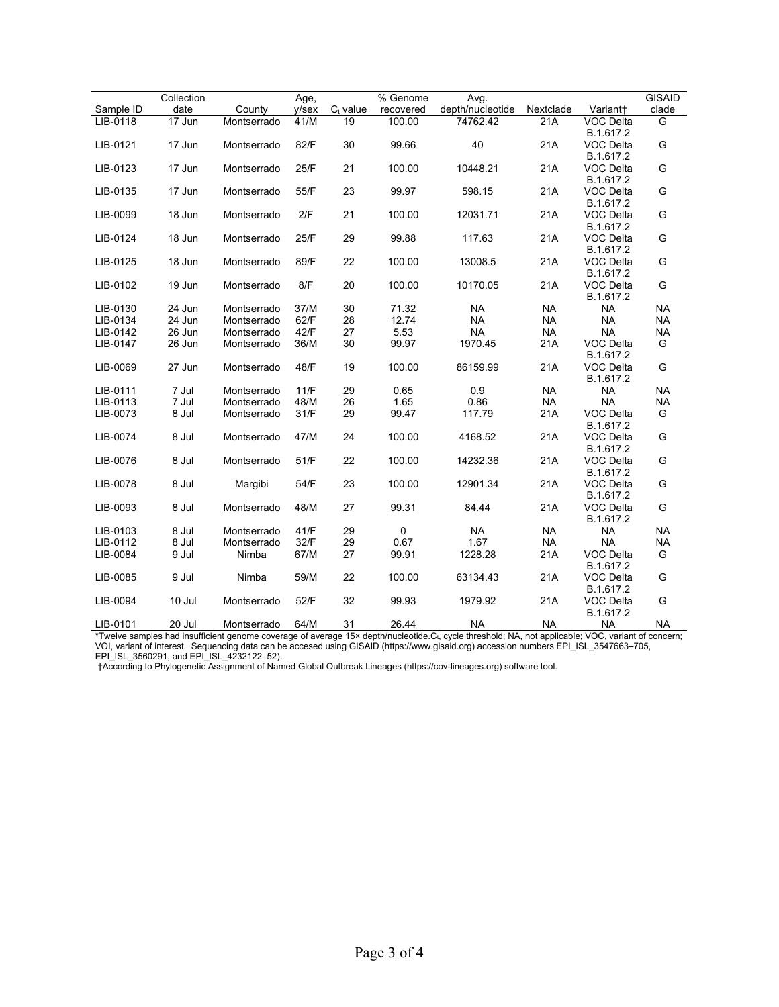|           | Collection |             | Age,  |             | % Genome  | Avg.             |           |                        | <b>GISAID</b> |
|-----------|------------|-------------|-------|-------------|-----------|------------------|-----------|------------------------|---------------|
| Sample ID | date       | County      | y/sex | $C_t$ value | recovered | depth/nucleotide | Nextclade | Variant+               | clade         |
| LIB-0118  | $17$ Jun   | Montserrado | 41/M  | 19          | 100.00    | 74762.42         | 21A       | <b>VOC Delta</b>       | G             |
|           |            |             |       |             |           |                  |           | B.1.617.2              |               |
| LIB-0121  | 17 Jun     | Montserrado | 82/F  | 30          | 99.66     | 40               | 21A       | VOC Delta              | G             |
|           |            |             |       |             |           |                  |           | B.1.617.2              |               |
| LIB-0123  | 17 Jun     | Montserrado | 25/F  | 21          | 100.00    | 10448.21         | 21A       | VOC Delta              | G             |
|           |            |             |       |             |           |                  |           | B.1.617.2              |               |
| LIB-0135  | 17 Jun     | Montserrado | 55/F  | 23          | 99.97     | 598.15           | 21A       | VOC Delta              | G             |
|           |            |             |       |             |           |                  |           | B.1.617.2              |               |
| LIB-0099  | 18 Jun     | Montserrado | 2/F   | 21          | 100.00    | 12031.71         | 21A       | VOC Delta              | G             |
| LIB-0124  | 18 Jun     | Montserrado | 25/F  | 29          | 99.88     | 117.63           | 21A       | B.1.617.2<br>VOC Delta | G             |
|           |            |             |       |             |           |                  |           | B.1.617.2              |               |
| LIB-0125  | 18 Jun     | Montserrado | 89/F  | 22          | 100.00    | 13008.5          | 21A       | <b>VOC Delta</b>       | G             |
|           |            |             |       |             |           |                  |           | B.1.617.2              |               |
| LIB-0102  | 19 Jun     | Montserrado | 8/F   | 20          | 100.00    | 10170.05         | 21A       | VOC Delta              | G             |
|           |            |             |       |             |           |                  |           | B.1.617.2              |               |
| LIB-0130  | 24 Jun     | Montserrado | 37/M  | 30          | 71.32     | <b>NA</b>        | <b>NA</b> | <b>NA</b>              | <b>NA</b>     |
| LIB-0134  | 24 Jun     | Montserrado | 62/F  | 28          | 12.74     | <b>NA</b>        | <b>NA</b> | <b>NA</b>              | <b>NA</b>     |
| LIB-0142  | 26 Jun     | Montserrado | 42/F  | 27          | 5.53      | <b>NA</b>        | <b>NA</b> | <b>NA</b>              | <b>NA</b>     |
| LIB-0147  | 26 Jun     | Montserrado | 36/M  | 30          | 99.97     | 1970.45          | 21A       | VOC Delta              | G             |
|           |            |             |       |             |           |                  |           | B.1.617.2              |               |
| LIB-0069  | 27 Jun     | Montserrado | 48/F  | 19          | 100.00    | 86159.99         | 21A       | VOC Delta              | G             |
|           |            |             |       |             |           |                  |           | B.1.617.2              |               |
| LIB-0111  | 7 Jul      | Montserrado | 11/F  | 29          | 0.65      | 0.9              | <b>NA</b> | <b>NA</b>              | <b>NA</b>     |
| LIB-0113  | 7 Jul      | Montserrado | 48/M  | 26          | 1.65      | 0.86             | <b>NA</b> | <b>NA</b>              | <b>NA</b>     |
| LIB-0073  | 8 Jul      | Montserrado | 31/F  | 29          | 99.47     | 117.79           | 21A       | VOC Delta              | G             |
|           |            |             |       |             |           |                  |           | B.1.617.2              |               |
| LIB-0074  | 8 Jul      | Montserrado | 47/M  | 24          | 100.00    | 4168.52          | 21A       | VOC Delta              | G             |
|           | 8 Jul      |             | 51/F  |             | 100.00    | 14232.36         | 21A       | B.1.617.2              | G             |
| LIB-0076  |            | Montserrado |       | 22          |           |                  |           | VOC Delta<br>B.1.617.2 |               |
| LIB-0078  | 8 Jul      | Margibi     | 54/F  | 23          | 100.00    | 12901.34         | 21A       | VOC Delta              | G             |
|           |            |             |       |             |           |                  |           | B.1.617.2              |               |
| LIB-0093  | 8 Jul      | Montserrado | 48/M  | 27          | 99.31     | 84.44            | 21A       | VOC Delta              | G             |
|           |            |             |       |             |           |                  |           | B.1.617.2              |               |
| LIB-0103  | 8 Jul      | Montserrado | 41/F  | 29          | $\pmb{0}$ | <b>NA</b>        | <b>NA</b> | <b>NA</b>              | <b>NA</b>     |
| LIB-0112  | 8 Jul      | Montserrado | 32/F  | 29          | 0.67      | 1.67             | <b>NA</b> | <b>NA</b>              | <b>NA</b>     |
| LIB-0084  | 9 Jul      | Nimba       | 67/M  | 27          | 99.91     | 1228.28          | 21A       | VOC Delta              | G             |
|           |            |             |       |             |           |                  |           | B.1.617.2              |               |
| LIB-0085  | 9 Jul      | Nimba       | 59/M  | 22          | 100.00    | 63134.43         | 21A       | VOC Delta              | G             |
|           |            |             |       |             |           |                  |           | B.1.617.2              |               |
| LIB-0094  | 10 Jul     | Montserrado | 52/F  | 32          | 99.93     | 1979.92          | 21A       | VOC Delta              | G             |
|           |            |             |       |             |           |                  |           | B.1.617.2              |               |
| LIB-0101  | 20 Jul     | Montserrado | 64/M  | 31          | 26.44     | <b>NA</b>        | <b>NA</b> | <b>NA</b>              | <b>NA</b>     |

\*Twelve samples had insufficient genome coverage of average 15× depth/nucleotide.Ct, cycle threshold; NA, not applicable; VOC, variant of concern; VOI, variant of interest. Sequencing data can be accesed using GISAID (https://www.gisaid.org) accession numbers EPI\_ISL\_3547663–705, EPI\_ISL\_3560291, and EPI\_ISL\_4232122–52).

†According to Phylogenetic Assignment of Named Global Outbreak Lineages (https://cov-lineages.org) software tool.